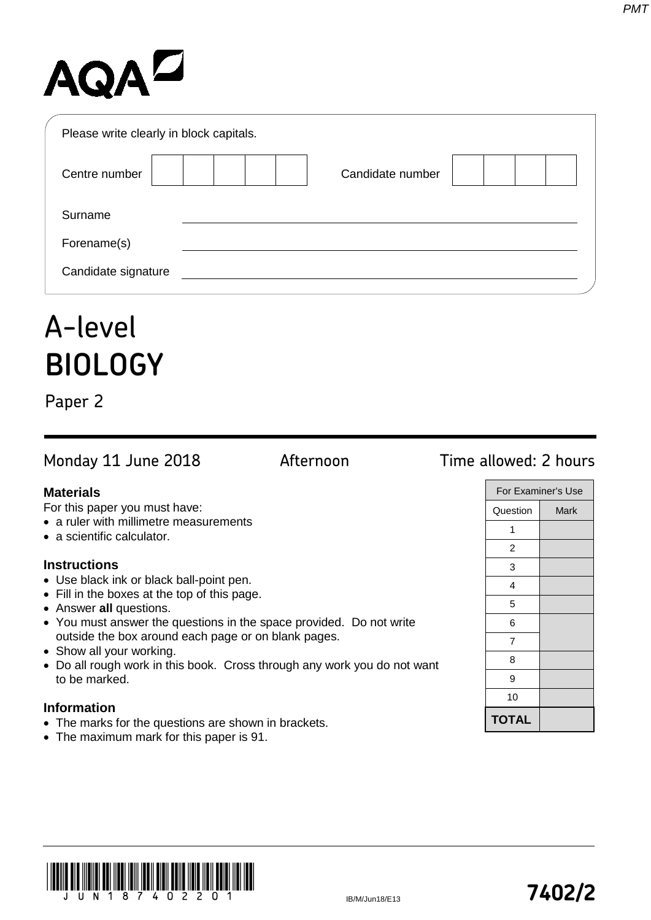# AQAD

| Please write clearly in block capitals. |                  |  |
|-----------------------------------------|------------------|--|
| Centre number                           | Candidate number |  |
| Surname                                 |                  |  |
| Forename(s)                             |                  |  |
| Candidate signature                     |                  |  |

## A-level **BIOLOGY**

Paper 2

Monday 11 June 2018 **Afternoon** Time allowed: 2 hours

For this paper you must have:

- a ruler with millimetre measurements
- a scientific calculator.

### **Instructions**

- Use black ink or black ball-point pen.
- Fill in the boxes at the top of this page.
- Answer **all** questions.
- You must answer the questions in the space provided. Do not write outside the box around each page or on blank pages.
- Show all your working.
- Do all rough work in this book. Cross through any work you do not want to be marked.

### **Information**

- The marks for the questions are shown in brackets.
- The maximum mark for this paper is 91.

| For Examiner's Use |      |  |
|--------------------|------|--|
| Question           | Mark |  |
| 1                  |      |  |
| $\overline{c}$     |      |  |
| 3                  |      |  |
| 4                  |      |  |
| 5                  |      |  |
| 6                  |      |  |
| 7                  |      |  |
| 8                  |      |  |
| 9                  |      |  |
| 10                 |      |  |
| <b>TOTAL</b>       |      |  |
|                    |      |  |



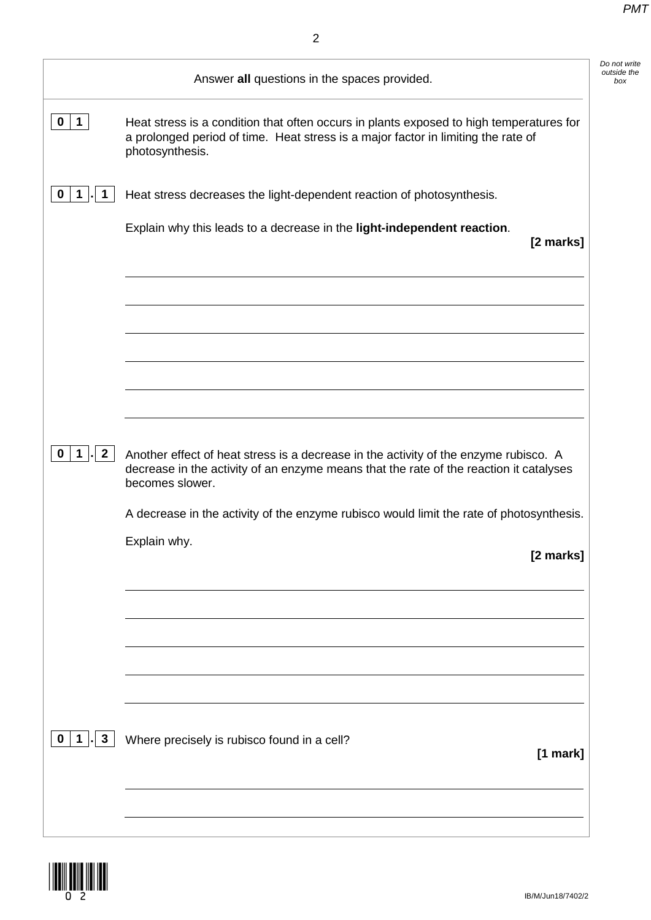*Do not write* 

|                                  | Answer all questions in the spaces provided.                                                                                                                                                      |
|----------------------------------|---------------------------------------------------------------------------------------------------------------------------------------------------------------------------------------------------|
| $\mathbf 0$<br>$\mathbf{1}$      | Heat stress is a condition that often occurs in plants exposed to high temperatures for<br>a prolonged period of time. Heat stress is a major factor in limiting the rate of<br>photosynthesis.   |
| 0                                | Heat stress decreases the light-dependent reaction of photosynthesis.                                                                                                                             |
|                                  | Explain why this leads to a decrease in the light-independent reaction.<br>[2 marks]                                                                                                              |
|                                  |                                                                                                                                                                                                   |
|                                  |                                                                                                                                                                                                   |
|                                  |                                                                                                                                                                                                   |
|                                  |                                                                                                                                                                                                   |
| $\overline{2}$<br>0              | Another effect of heat stress is a decrease in the activity of the enzyme rubisco. A<br>decrease in the activity of an enzyme means that the rate of the reaction it catalyses<br>becomes slower. |
|                                  | A decrease in the activity of the enzyme rubisco would limit the rate of photosynthesis.                                                                                                          |
|                                  | Explain why.<br>[2 marks]                                                                                                                                                                         |
|                                  |                                                                                                                                                                                                   |
|                                  |                                                                                                                                                                                                   |
|                                  |                                                                                                                                                                                                   |
|                                  |                                                                                                                                                                                                   |
| $\mathbf{3}$<br>$\mathbf 0$<br>1 |                                                                                                                                                                                                   |
|                                  | Where precisely is rubisco found in a cell?                                                                                                                                                       |
|                                  | [1 mark]                                                                                                                                                                                          |
|                                  |                                                                                                                                                                                                   |

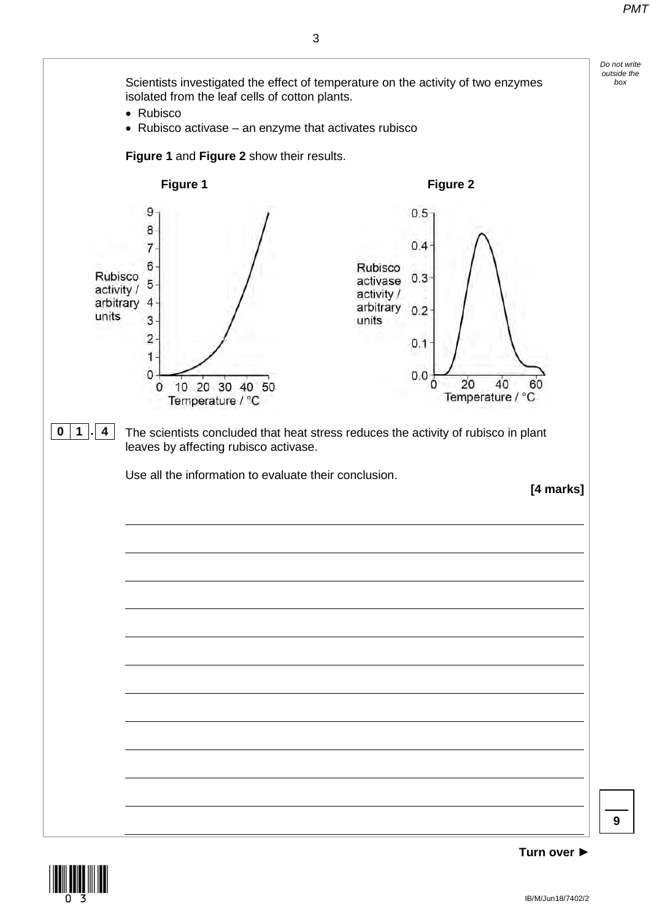



**9**

3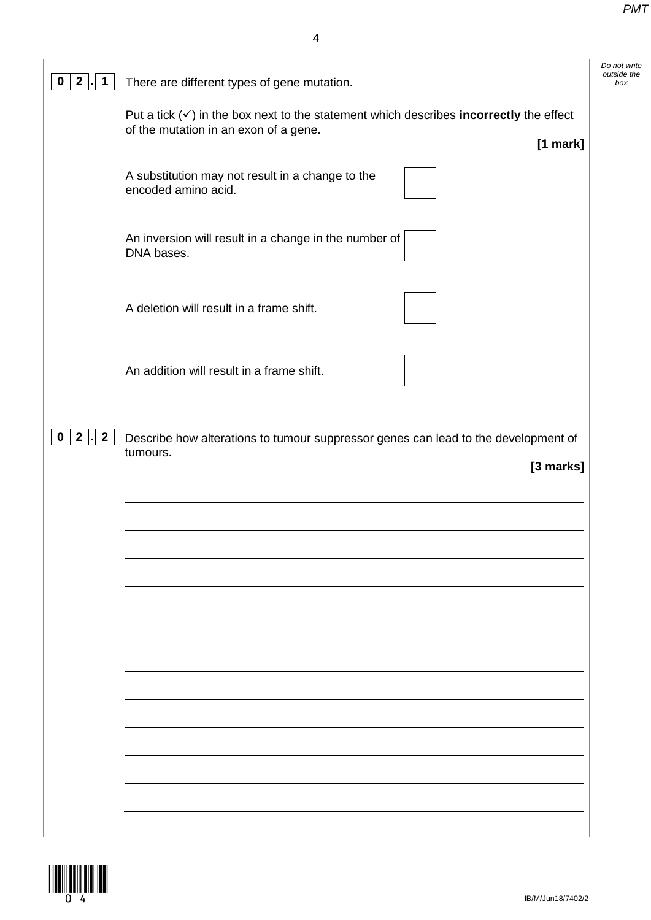| 2 <sub>1</sub><br>$\mathbf 1$<br>0 | There are different types of gene mutation.                                                                                                                   |
|------------------------------------|---------------------------------------------------------------------------------------------------------------------------------------------------------------|
|                                    | Put a tick $(\checkmark)$ in the box next to the statement which describes <b>incorrectly</b> the effect<br>of the mutation in an exon of a gene.<br>[1 mark] |
|                                    | A substitution may not result in a change to the<br>encoded amino acid.                                                                                       |
|                                    | An inversion will result in a change in the number of<br>DNA bases.                                                                                           |
|                                    | A deletion will result in a frame shift.                                                                                                                      |
|                                    | An addition will result in a frame shift.                                                                                                                     |
| $2$ .<br>$\mathbf{2}$<br>0         | Describe how alterations to tumour suppressor genes can lead to the development of                                                                            |
|                                    | tumours.<br>[3 marks]                                                                                                                                         |
|                                    |                                                                                                                                                               |
|                                    |                                                                                                                                                               |
|                                    |                                                                                                                                                               |
|                                    |                                                                                                                                                               |
|                                    |                                                                                                                                                               |
|                                    |                                                                                                                                                               |
|                                    |                                                                                                                                                               |

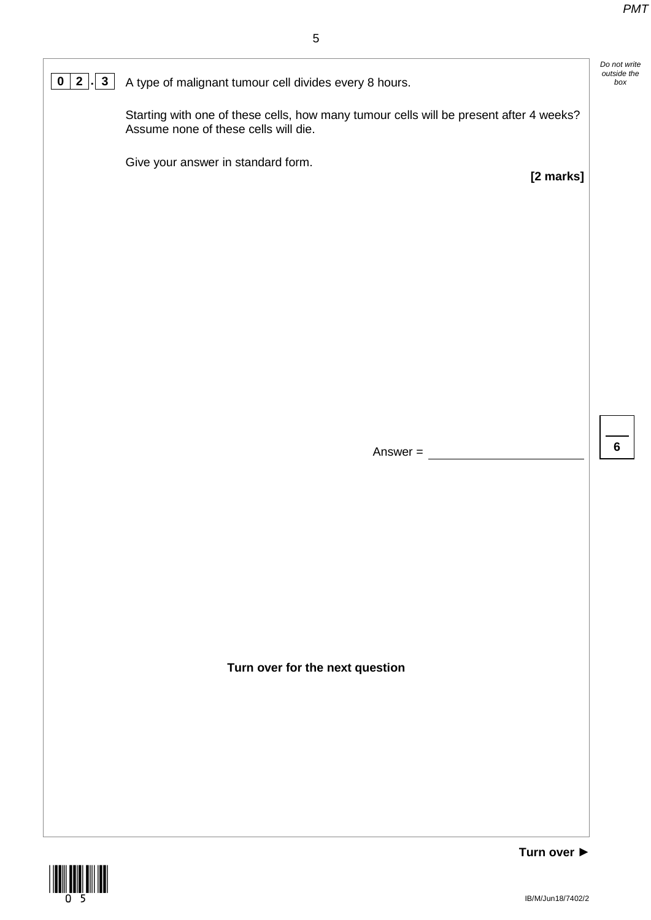*Do not write outside the* 

**6**

**[2 marks]**

### **0 2**  $\cdot$  **3** A type of malignant tumour cell divides every 8 hours.

Starting with one of these cells, how many tumour cells will be present after 4 weeks? Assume none of these cells will die.

Give your answer in standard form.

Answer =  $\frac{ }{ }$ 

**Turn over for the next question**

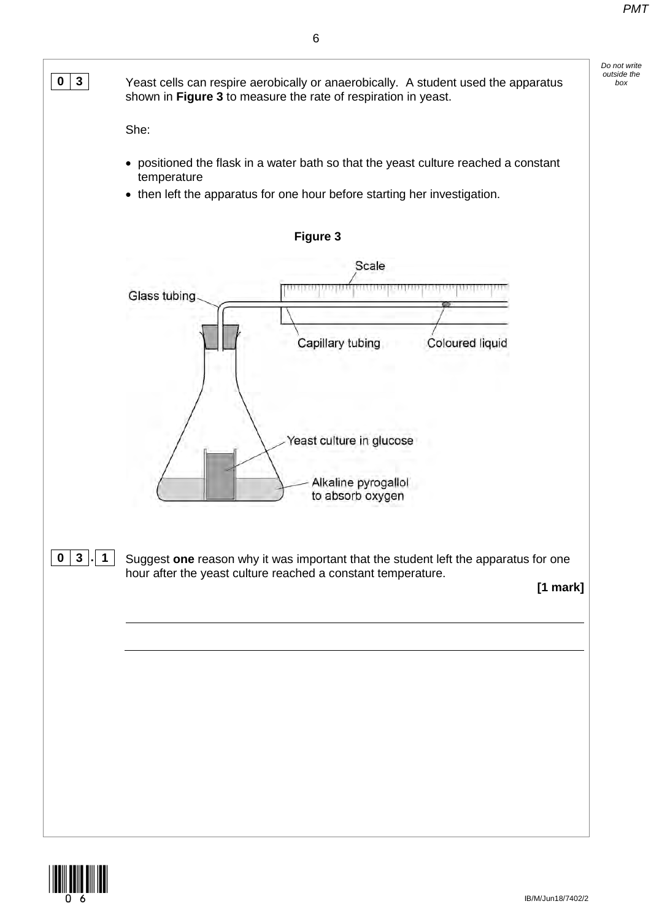

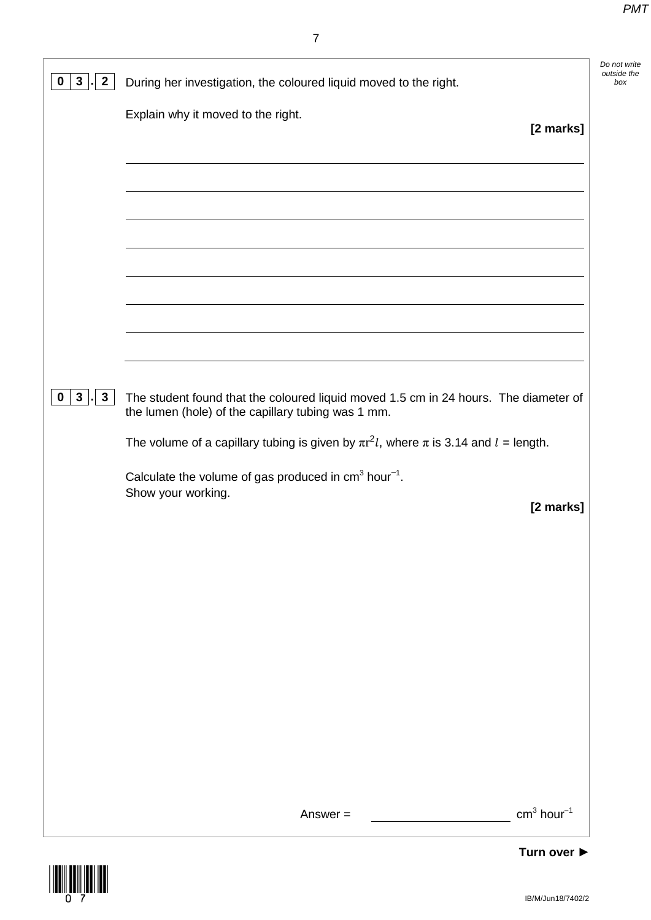*Do not write outside the* 

| $\mathbf{2}$<br>$\bf{0}$<br>$3\phantom{a}$    | During her investigation, the coloured liquid moved to the right.                                                                          |
|-----------------------------------------------|--------------------------------------------------------------------------------------------------------------------------------------------|
|                                               | Explain why it moved to the right.<br>[2 marks]                                                                                            |
|                                               |                                                                                                                                            |
|                                               |                                                                                                                                            |
|                                               |                                                                                                                                            |
|                                               |                                                                                                                                            |
|                                               |                                                                                                                                            |
|                                               |                                                                                                                                            |
|                                               |                                                                                                                                            |
| 3 <sup>1</sup><br>$\mathbf{3}$<br>$\mathbf 0$ | The student found that the coloured liquid moved 1.5 cm in 24 hours. The diameter of<br>the lumen (hole) of the capillary tubing was 1 mm. |
|                                               | The volume of a capillary tubing is given by $\pi r^2 l$ , where $\pi$ is 3.14 and $l =$ length.                                           |
|                                               | Calculate the volume of gas produced in $cm3 hour-1$ .<br>Show your working.                                                               |
|                                               | [2 marks]                                                                                                                                  |
|                                               |                                                                                                                                            |
|                                               |                                                                                                                                            |
|                                               |                                                                                                                                            |
|                                               |                                                                                                                                            |
|                                               |                                                                                                                                            |
|                                               |                                                                                                                                            |
|                                               |                                                                                                                                            |
|                                               |                                                                                                                                            |

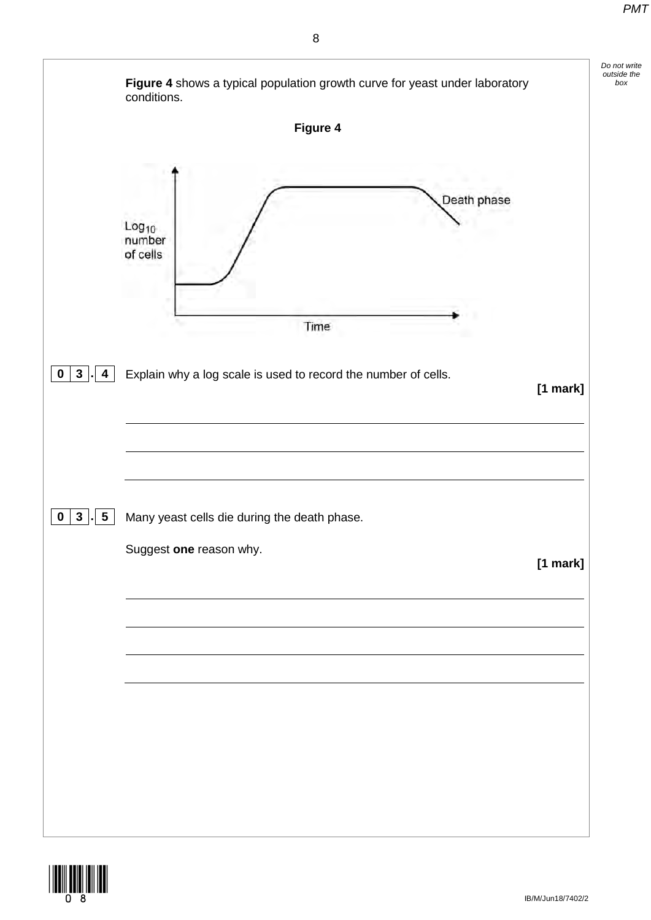

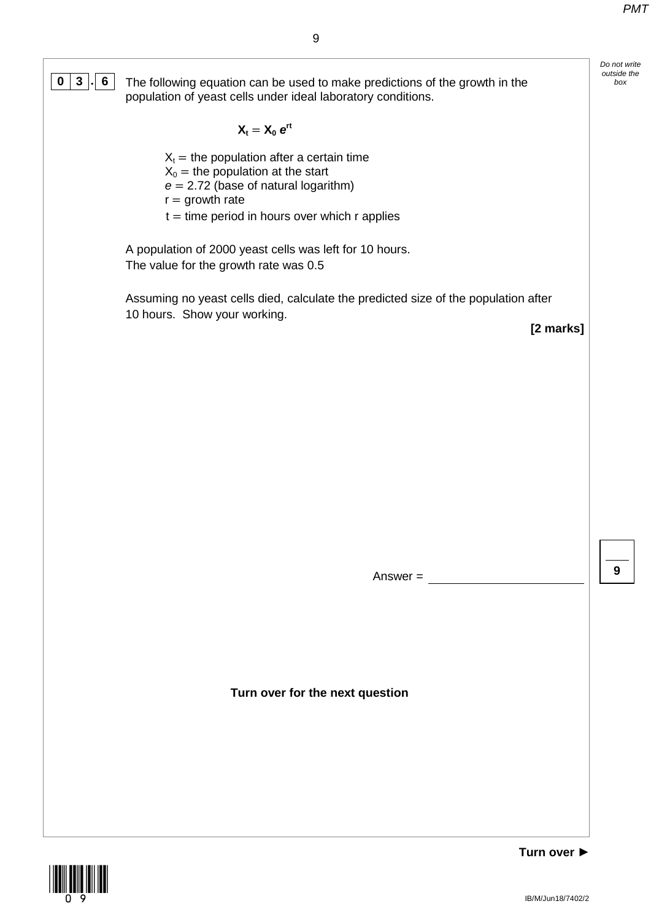*Do not write outside the* 

9

**0 3**  $\begin{bmatrix} . & 0 & 0 \\ 0 & . & . \end{bmatrix}$  The following equation can be used to make predictions of the growth in the population of yeast cells under ideal laboratory conditions.

 $X_t = X_0 e^{rt}$ 

 $X_t$  = the population after a certain time

 $X_0$  = the population at the start

*e* = 2.72 (base of natural logarithm)

 $r =$  growth rate

 $t =$  time period in hours over which r applies

A population of 2000 yeast cells was left for 10 hours. The value for the growth rate was 0.5

Assuming no yeast cells died, calculate the predicted size of the population after 10 hours. Show your working.

**[2 marks]**

Answer =

**9**

**Turn over for the next question**

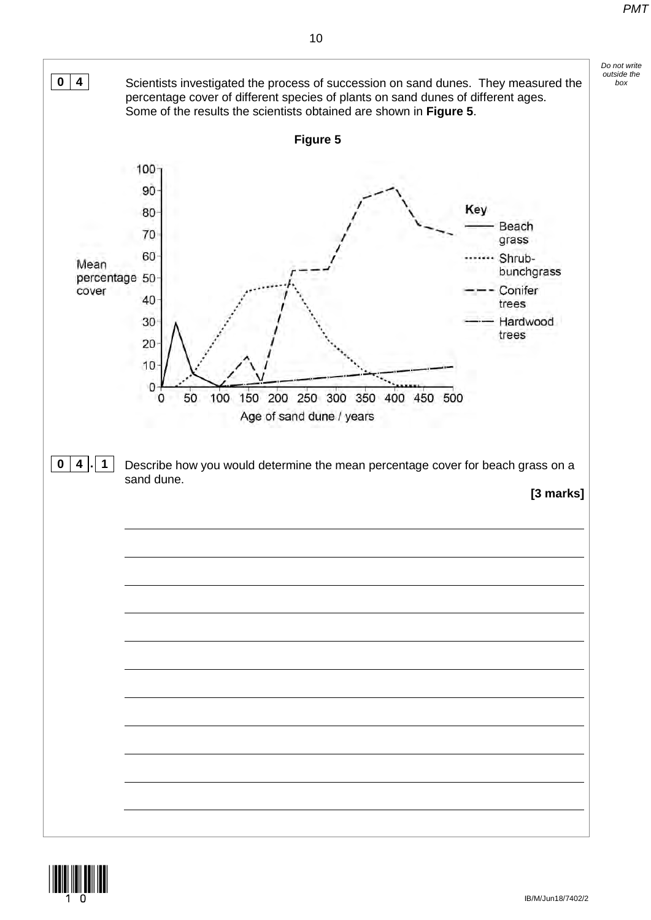

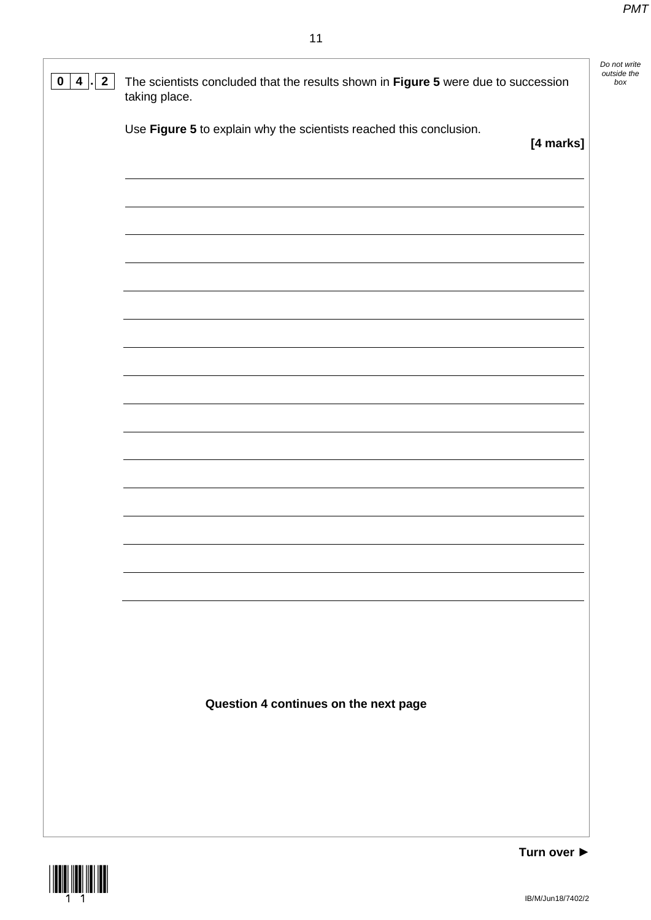*Do not write outside the* 



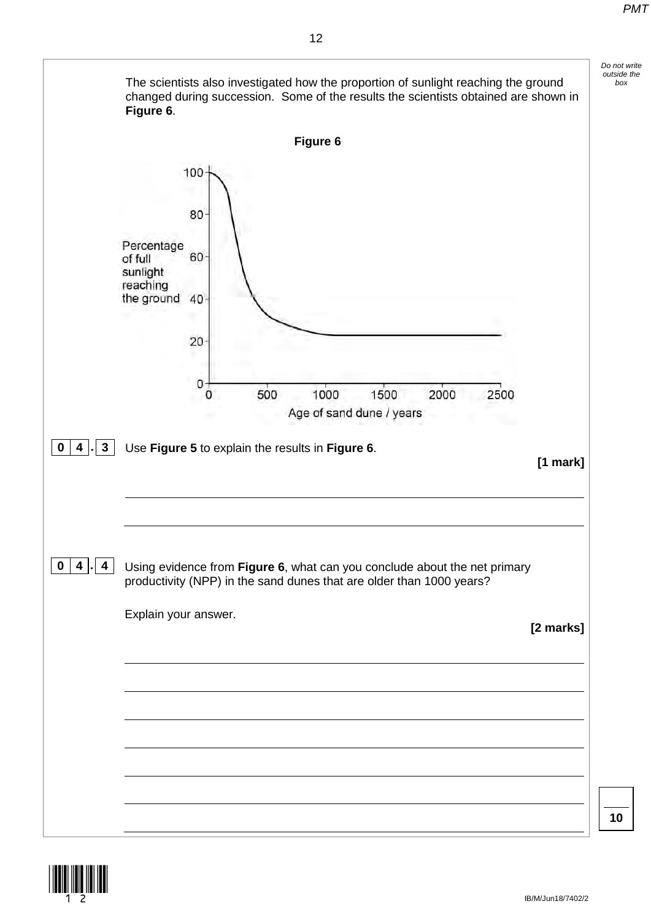

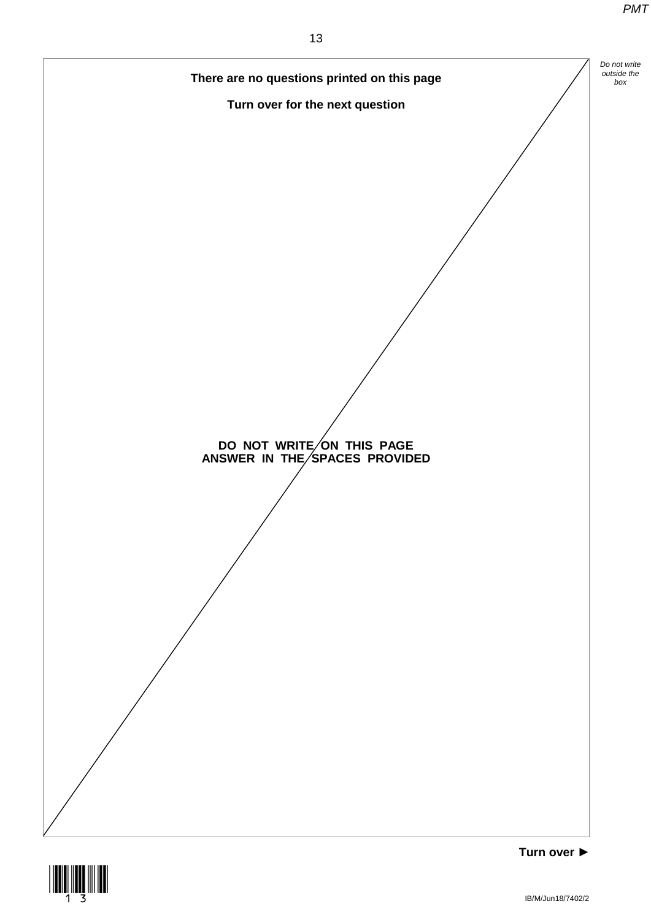

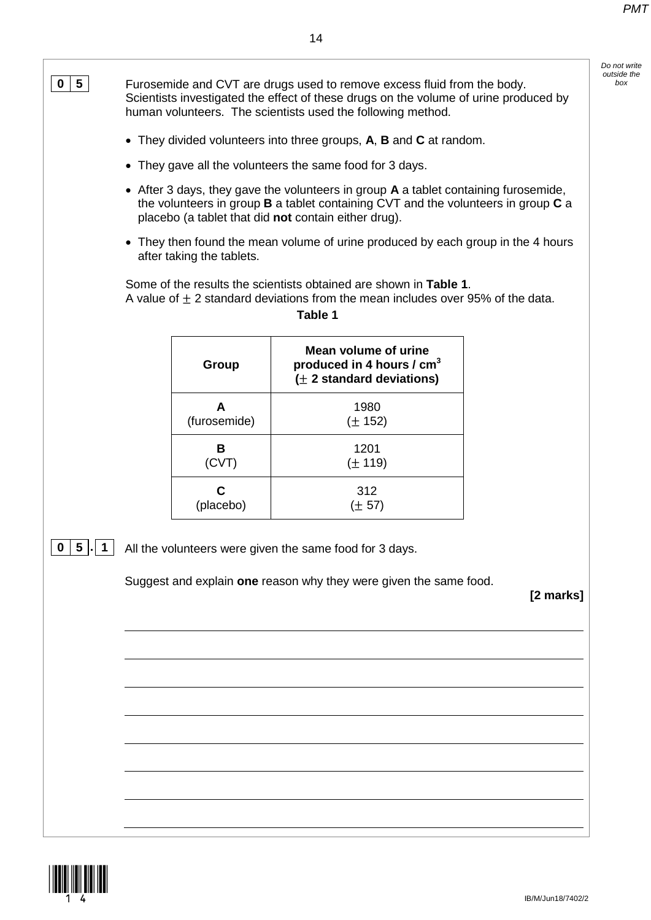Scientists investigated the effect of these drugs on the volume of urine produced by

**0 5** Furosemide and CVT are drugs used to remove excess fluid from the body.

*Do not write outside the* 

human volunteers. The scientists used the following method. • They divided volunteers into three groups, **A**, **B** and **C** at random. • They gave all the volunteers the same food for 3 days. • After 3 days, they gave the volunteers in group **A** a tablet containing furosemide, the volunteers in group **B** a tablet containing CVT and the volunteers in group **C** a placebo (a tablet that did **not** contain either drug). • They then found the mean volume of urine produced by each group in the 4 hours after taking the tablets. Some of the results the scientists obtained are shown in **Table 1**. A value of  $\pm$  2 standard deviations from the mean includes over 95% of the data. **Table 1 Group Mean volume of urine produced in 4 hours / cm3 (**± **2 standard deviations) A**  (furosemide) 1980 (± 152) **B**  (CVT) 1201  $(+ 119)$ **C**  (placebo) 312  $(\pm 57)$ **0 5 . 1** All the volunteers were given the same food for 3 days. Suggest and explain **one** reason why they were given the same food. **[2 marks]**

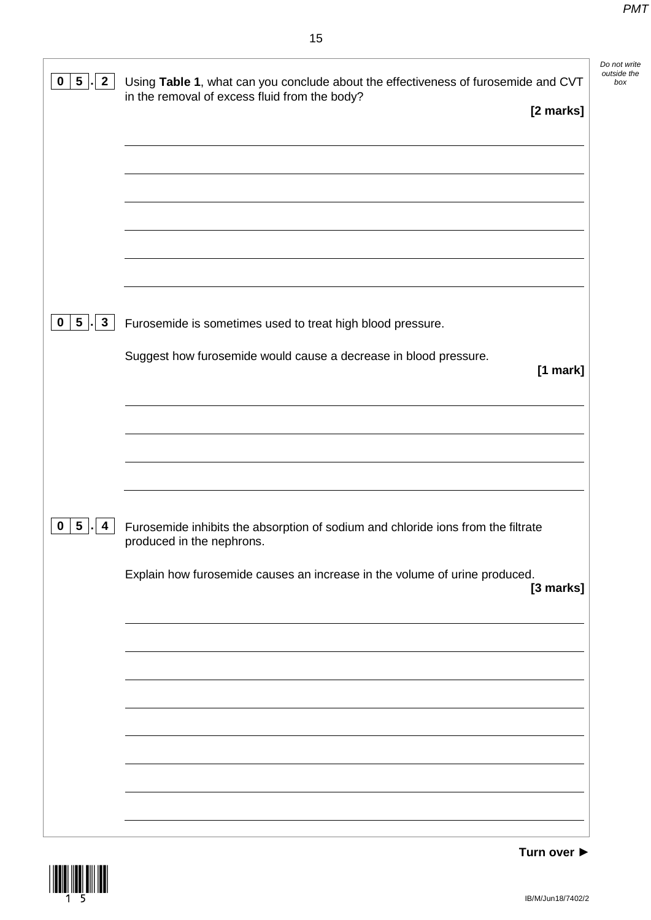*Do not write outside the* 

٦

| $\overline{\mathbf{5}}$<br>$\mathbf{2}$<br>$\bf{0}$ | Using Table 1, what can you conclude about the effectiveness of furosemide and CVT<br>in the removal of excess fluid from the body? |
|-----------------------------------------------------|-------------------------------------------------------------------------------------------------------------------------------------|
|                                                     | [2 marks]                                                                                                                           |
|                                                     |                                                                                                                                     |
|                                                     |                                                                                                                                     |
|                                                     |                                                                                                                                     |
|                                                     |                                                                                                                                     |
|                                                     |                                                                                                                                     |
|                                                     |                                                                                                                                     |
|                                                     |                                                                                                                                     |
|                                                     |                                                                                                                                     |
| $5\phantom{.0}$<br>$\mathbf{3}$<br>$\mathbf{0}$     | Furosemide is sometimes used to treat high blood pressure.                                                                          |
|                                                     | Suggest how furosemide would cause a decrease in blood pressure.                                                                    |
|                                                     | [1 mark]                                                                                                                            |
|                                                     |                                                                                                                                     |
|                                                     |                                                                                                                                     |
|                                                     |                                                                                                                                     |
|                                                     |                                                                                                                                     |
|                                                     |                                                                                                                                     |
| $5\overline{)}$                                     |                                                                                                                                     |
| $\mathbf 0$<br>4                                    | Furosemide inhibits the absorption of sodium and chloride ions from the filtrate<br>produced in the nephrons.                       |
|                                                     |                                                                                                                                     |
|                                                     | Explain how furosemide causes an increase in the volume of urine produced.<br>[3 marks]                                             |
|                                                     |                                                                                                                                     |
|                                                     |                                                                                                                                     |
|                                                     |                                                                                                                                     |
|                                                     |                                                                                                                                     |
|                                                     |                                                                                                                                     |
|                                                     |                                                                                                                                     |
|                                                     |                                                                                                                                     |
|                                                     |                                                                                                                                     |
|                                                     |                                                                                                                                     |
|                                                     |                                                                                                                                     |

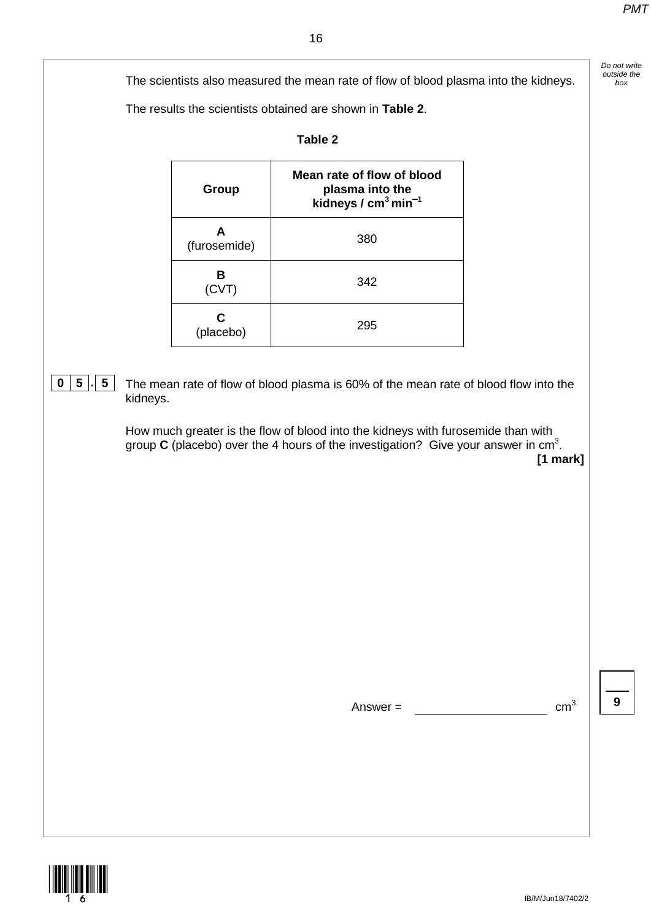*Do not write* 

The scientists also measured the mean rate of flow of blood plasma into the kidneys. *box* box

The results the scientists obtained are shown in **Table 2**.

| Γable |  |
|-------|--|
|       |  |

| Group             | Mean rate of flow of blood<br>plasma into the<br>kidneys / $cm3 min-1$ |
|-------------------|------------------------------------------------------------------------|
| А<br>(furosemide) | 380                                                                    |
| в<br>(CVT)        | 342                                                                    |
| С<br>(placebo)    | 295                                                                    |

**0** | **5**  $\vert \cdot \vert$  **5** | The mean rate of flow of blood plasma is 60% of the mean rate of blood flow into the kidneys.

> How much greater is the flow of blood into the kidneys with furosemide than with group  $C$  (placebo) over the 4 hours of the investigation? Give your answer in  $cm<sup>3</sup>$ .

**[1 mark]**

Answer =  $cm^3$  | | 9



IB/M/Jun18/7402/2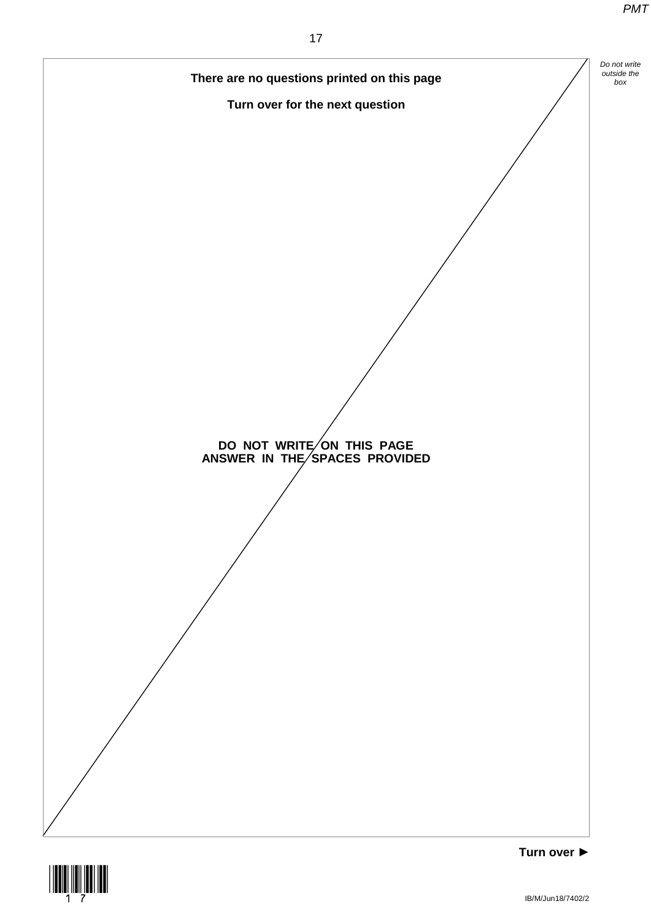

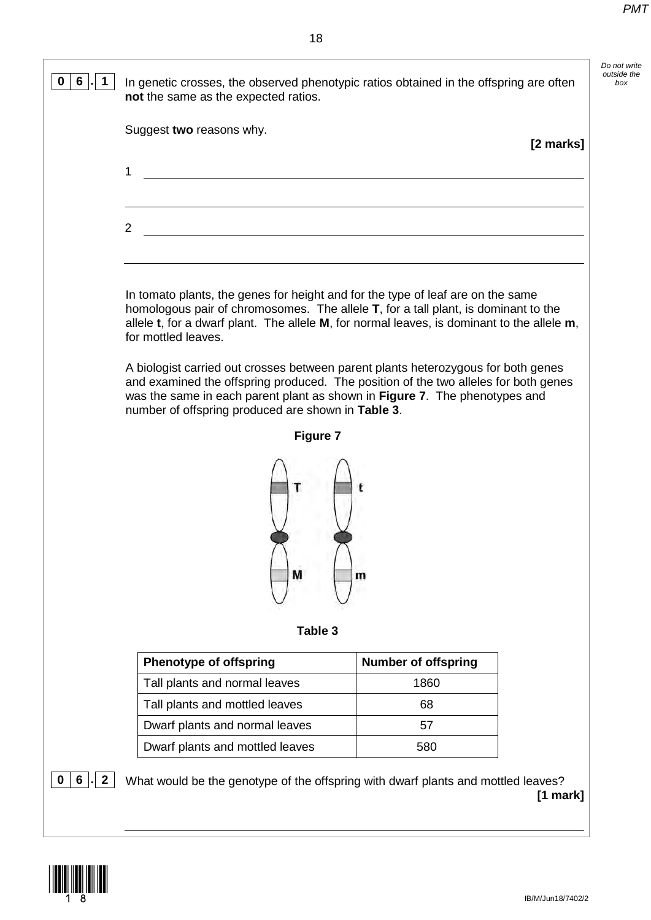*Do not write outside the* 

**[2 marks]**

## **0 6 . 1** In genetic crosses, the observed phenotypic ratios obtained in the offspring are often **not** the same as the expected ratios. Suggest **two** reasons why. 1  $\mathfrak{D}$ In tomato plants, the genes for height and for the type of leaf are on the same homologous pair of chromosomes. The allele **T**, for a tall plant, is dominant to the allele **t**, for a dwarf plant. The allele **M**, for normal leaves, is dominant to the allele **m**, for mottled leaves. A biologist carried out crosses between parent plants heterozygous for both genes and examined the offspring produced. The position of the two alleles for both genes was the same in each parent plant as shown in **Figure 7**. The phenotypes and number of offspring produced are shown in **Table 3**. **Figure 7** M **Table 3 Phenotype of offspring**  $\vert$  **Number of offspring** Tall plants and normal leaves and the 1860 Tall plants and mottled leaves Tall plants and mottled leaves Dwarf plants and normal leaves and the state of the state of the state of the state of the state of the state o Dwarf plants and mottled leaves 1580 **0 6** . **2** What would be the genotype of the offspring with dwarf plants and mottled leaves?

<u>|| || || || || || || || || || || || ||</u>

**[1 mark]**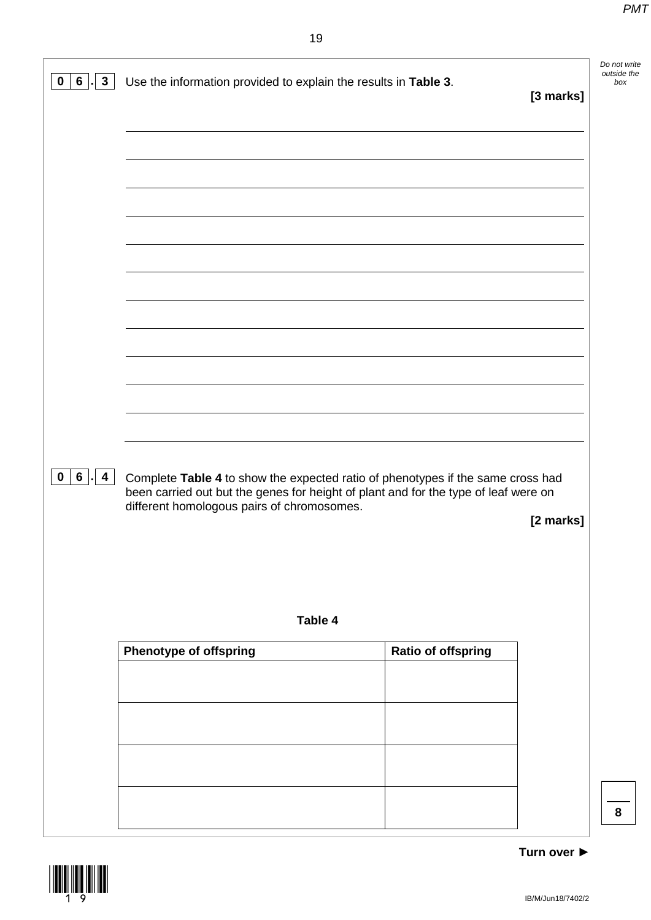| $\mathbf{3}$<br>$6\phantom{.}$<br>0                       | Use the information provided to explain the results in Table 3.                                                                                                                                                      |                           | [3 marks] | Do not write<br>outside the<br>box |
|-----------------------------------------------------------|----------------------------------------------------------------------------------------------------------------------------------------------------------------------------------------------------------------------|---------------------------|-----------|------------------------------------|
|                                                           |                                                                                                                                                                                                                      |                           |           |                                    |
|                                                           |                                                                                                                                                                                                                      |                           |           |                                    |
|                                                           |                                                                                                                                                                                                                      |                           |           |                                    |
|                                                           |                                                                                                                                                                                                                      |                           |           |                                    |
|                                                           |                                                                                                                                                                                                                      |                           |           |                                    |
| $6\phantom{.}6$<br>$\mathbf 0$<br>$\overline{\mathbf{4}}$ | Complete Table 4 to show the expected ratio of phenotypes if the same cross had<br>been carried out but the genes for height of plant and for the type of leaf were on<br>different homologous pairs of chromosomes. |                           |           |                                    |
|                                                           |                                                                                                                                                                                                                      |                           | [2 marks] |                                    |
|                                                           | Table 4                                                                                                                                                                                                              |                           |           |                                    |
|                                                           | <b>Phenotype of offspring</b>                                                                                                                                                                                        | <b>Ratio of offspring</b> |           |                                    |
|                                                           |                                                                                                                                                                                                                      |                           |           |                                    |
|                                                           |                                                                                                                                                                                                                      |                           |           |                                    |
|                                                           |                                                                                                                                                                                                                      |                           |           | 8                                  |

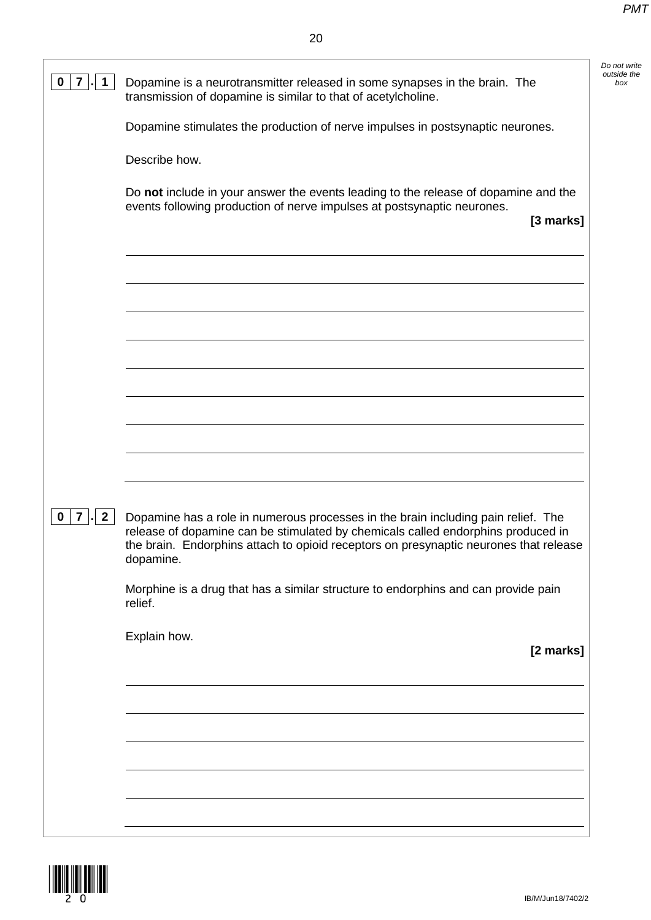*Do not write outside the* 

| 0<br>7                                         | Dopamine is a neurotransmitter released in some synapses in the brain. The<br>transmission of dopamine is similar to that of acetylcholine.                                                                                                                                 | Do not<br>outside<br>bo) |
|------------------------------------------------|-----------------------------------------------------------------------------------------------------------------------------------------------------------------------------------------------------------------------------------------------------------------------------|--------------------------|
|                                                | Dopamine stimulates the production of nerve impulses in postsynaptic neurones.                                                                                                                                                                                              |                          |
|                                                | Describe how.                                                                                                                                                                                                                                                               |                          |
|                                                | Do not include in your answer the events leading to the release of dopamine and the<br>events following production of nerve impulses at postsynaptic neurones.<br>[3 marks]                                                                                                 |                          |
|                                                |                                                                                                                                                                                                                                                                             |                          |
|                                                |                                                                                                                                                                                                                                                                             |                          |
|                                                |                                                                                                                                                                                                                                                                             |                          |
|                                                |                                                                                                                                                                                                                                                                             |                          |
|                                                |                                                                                                                                                                                                                                                                             |                          |
|                                                |                                                                                                                                                                                                                                                                             |                          |
| $\overline{7}$<br>$\mathbf{2}$<br>$\mathbf{0}$ | Dopamine has a role in numerous processes in the brain including pain relief. The<br>release of dopamine can be stimulated by chemicals called endorphins produced in<br>the brain. Endorphins attach to opioid receptors on presynaptic neurones that release<br>dopamine. |                          |
|                                                | Morphine is a drug that has a similar structure to endorphins and can provide pain<br>relief.                                                                                                                                                                               |                          |
|                                                | Explain how.<br>[2 marks]                                                                                                                                                                                                                                                   |                          |
|                                                |                                                                                                                                                                                                                                                                             |                          |
|                                                |                                                                                                                                                                                                                                                                             |                          |
|                                                |                                                                                                                                                                                                                                                                             |                          |
|                                                |                                                                                                                                                                                                                                                                             |                          |

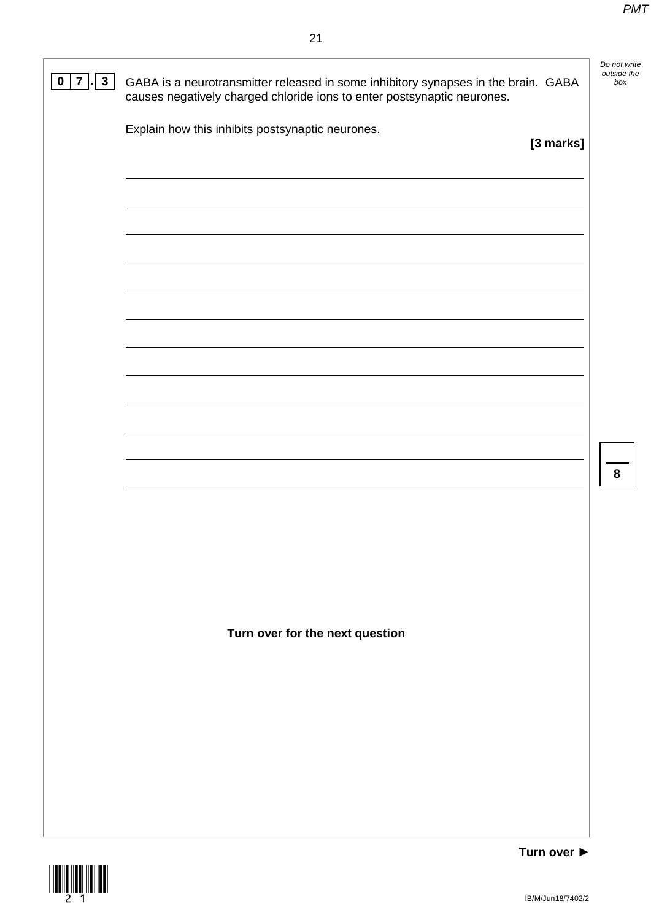*Do not write* 

| $\mathbf{3}$<br>$\mathbf 0$<br>$\overline{7}$ | GABA is a neurotransmitter released in some inhibitory synapses in the brain. GABA<br>causes negatively charged chloride ions to enter postsynaptic neurones. | outside the<br>box |
|-----------------------------------------------|---------------------------------------------------------------------------------------------------------------------------------------------------------------|--------------------|
|                                               | Explain how this inhibits postsynaptic neurones.<br>[3 marks]                                                                                                 |                    |
|                                               |                                                                                                                                                               |                    |
|                                               |                                                                                                                                                               |                    |
|                                               |                                                                                                                                                               |                    |
|                                               |                                                                                                                                                               |                    |
|                                               |                                                                                                                                                               |                    |
|                                               |                                                                                                                                                               |                    |
|                                               |                                                                                                                                                               |                    |
|                                               |                                                                                                                                                               |                    |
|                                               |                                                                                                                                                               | 8                  |
|                                               |                                                                                                                                                               |                    |
|                                               |                                                                                                                                                               |                    |
|                                               |                                                                                                                                                               |                    |
|                                               | Turn over for the next question                                                                                                                               |                    |
|                                               |                                                                                                                                                               |                    |
|                                               |                                                                                                                                                               |                    |
|                                               |                                                                                                                                                               |                    |
|                                               |                                                                                                                                                               |                    |
|                                               |                                                                                                                                                               |                    |

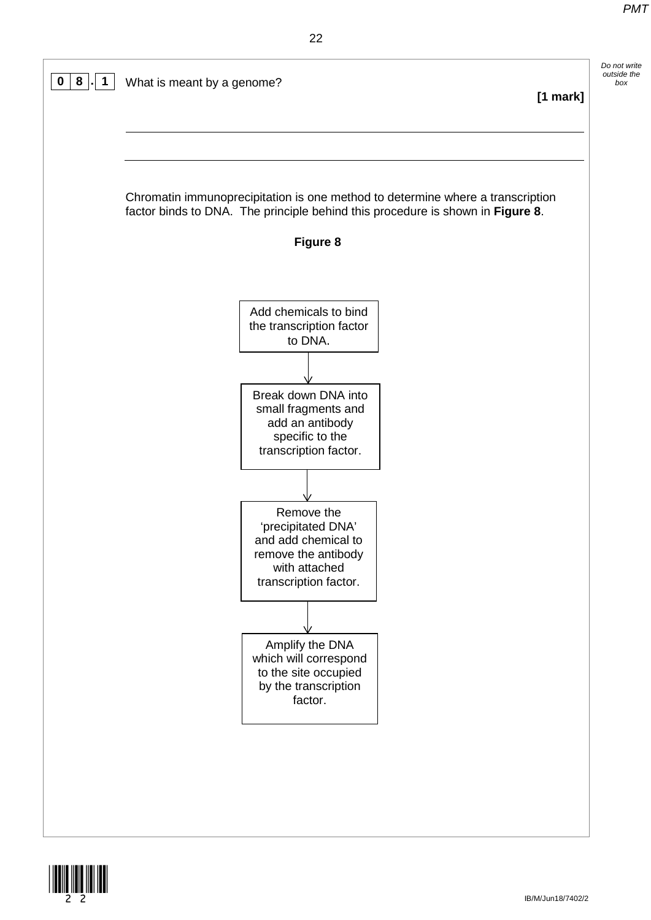



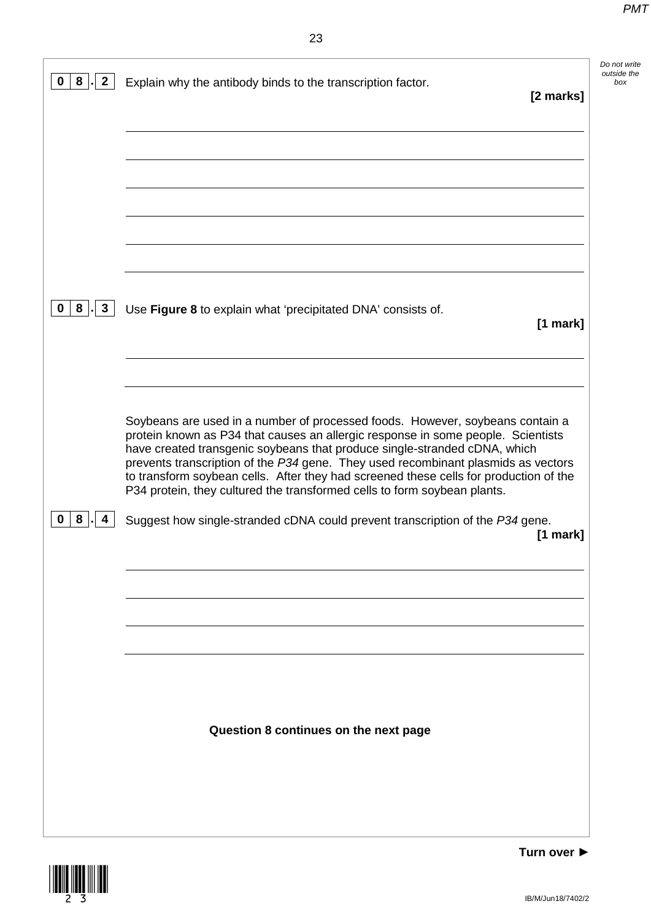*Do not write outside the* 

| 8                                        | Do not<br>outside<br>Explain why the antibody binds to the transcription factor.<br>[2 marks]                                                                                                                                                                                                                                                                                                                                                                                                            |
|------------------------------------------|----------------------------------------------------------------------------------------------------------------------------------------------------------------------------------------------------------------------------------------------------------------------------------------------------------------------------------------------------------------------------------------------------------------------------------------------------------------------------------------------------------|
|                                          |                                                                                                                                                                                                                                                                                                                                                                                                                                                                                                          |
|                                          |                                                                                                                                                                                                                                                                                                                                                                                                                                                                                                          |
|                                          |                                                                                                                                                                                                                                                                                                                                                                                                                                                                                                          |
| $8 \mid$<br>$\mathbf{3}$<br>$\mathbf{0}$ | Use Figure 8 to explain what 'precipitated DNA' consists of.<br>[1 mark]                                                                                                                                                                                                                                                                                                                                                                                                                                 |
|                                          | Soybeans are used in a number of processed foods. However, soybeans contain a<br>protein known as P34 that causes an allergic response in some people. Scientists<br>have created transgenic soybeans that produce single-stranded cDNA, which<br>prevents transcription of the P34 gene. They used recombinant plasmids as vectors<br>to transform soybean cells. After they had screened these cells for production of the<br>P34 protein, they cultured the transformed cells to form soybean plants. |
| 8<br>0                                   | Suggest how single-stranded cDNA could prevent transcription of the P34 gene.<br>$[1$ mark]                                                                                                                                                                                                                                                                                                                                                                                                              |
|                                          |                                                                                                                                                                                                                                                                                                                                                                                                                                                                                                          |
|                                          |                                                                                                                                                                                                                                                                                                                                                                                                                                                                                                          |
|                                          | Question 8 continues on the next page                                                                                                                                                                                                                                                                                                                                                                                                                                                                    |
|                                          |                                                                                                                                                                                                                                                                                                                                                                                                                                                                                                          |

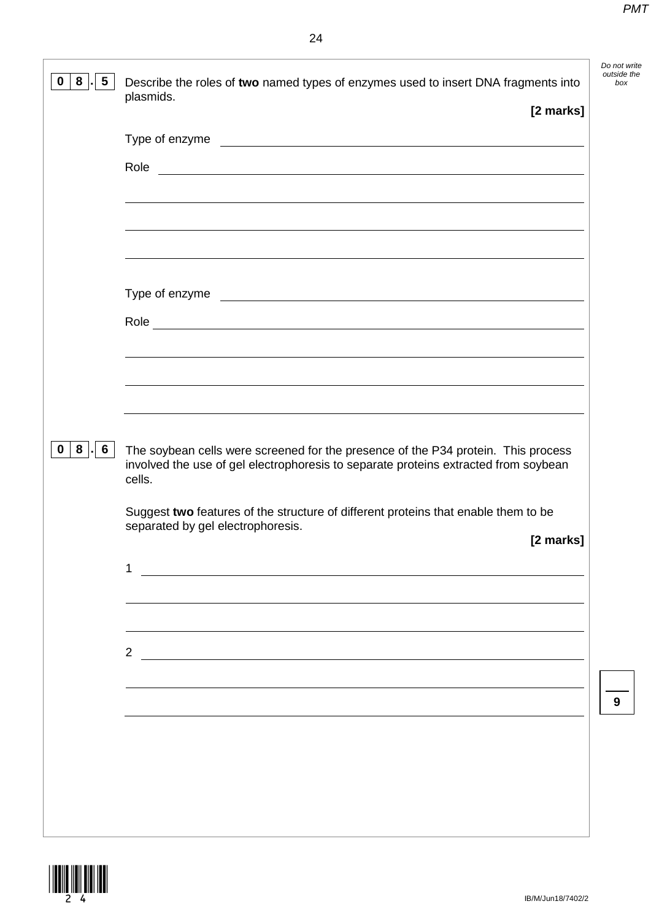*Do not write outside the* 

|                                         | [2 marks]                                                                                                                                                                |
|-----------------------------------------|--------------------------------------------------------------------------------------------------------------------------------------------------------------------------|
|                                         |                                                                                                                                                                          |
|                                         |                                                                                                                                                                          |
|                                         |                                                                                                                                                                          |
|                                         |                                                                                                                                                                          |
|                                         | <u> 1989 - Johann Stoff, deutscher Stoffen und der Stoffen und der Stoffen und der Stoffen und der Stoffen und de</u>                                                    |
| $8$ .<br>$\mathbf{0}$<br>$6\phantom{1}$ |                                                                                                                                                                          |
|                                         | The soybean cells were screened for the presence of the P34 protein. This process<br>involved the use of gel electrophoresis to separate proteins extracted from soybean |
|                                         | cells.<br>Suggest two features of the structure of different proteins that enable them to be<br>separated by gel electrophoresis.                                        |
|                                         | [2 marks]<br>1                                                                                                                                                           |
|                                         |                                                                                                                                                                          |
|                                         | $2^{\circ}$                                                                                                                                                              |
|                                         |                                                                                                                                                                          |
|                                         |                                                                                                                                                                          |

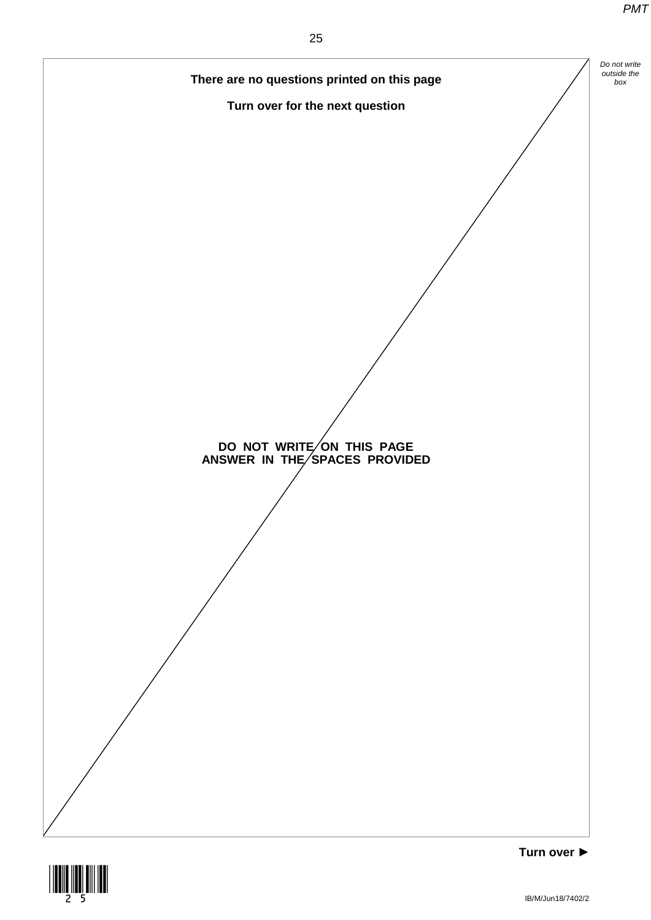



IB/M/Jun18/7402/2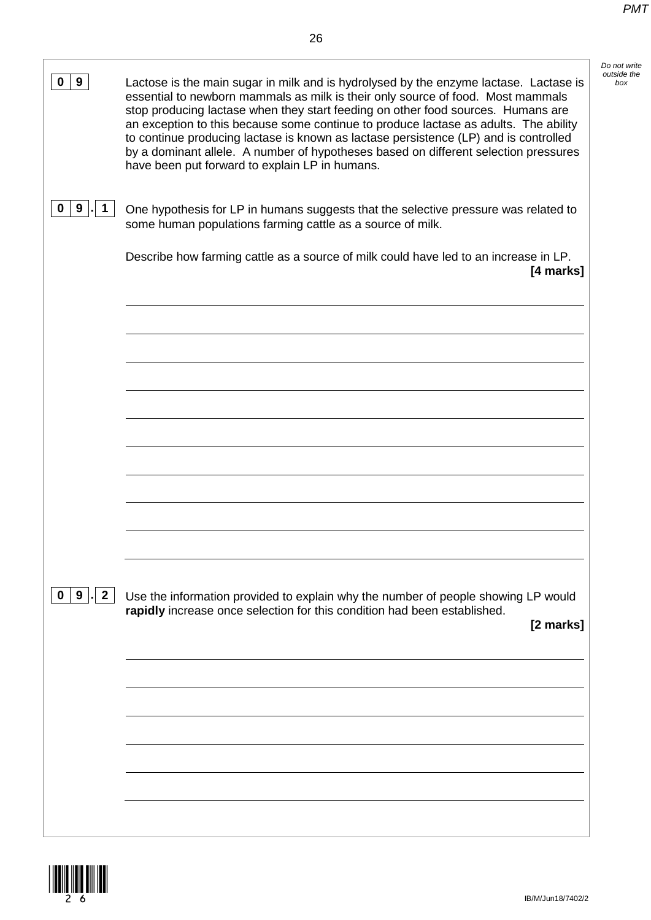*Do not write outside the* 

| 9<br>0                            | Do not<br>Lactose is the main sugar in milk and is hydrolysed by the enzyme lactase. Lactase is<br>essential to newborn mammals as milk is their only source of food. Most mammals<br>stop producing lactase when they start feeding on other food sources. Humans are<br>an exception to this because some continue to produce lactase as adults. The ability<br>to continue producing lactase is known as lactase persistence (LP) and is controlled<br>by a dominant allele. A number of hypotheses based on different selection pressures<br>have been put forward to explain LP in humans. |
|-----------------------------------|-------------------------------------------------------------------------------------------------------------------------------------------------------------------------------------------------------------------------------------------------------------------------------------------------------------------------------------------------------------------------------------------------------------------------------------------------------------------------------------------------------------------------------------------------------------------------------------------------|
| 9<br>0                            | One hypothesis for LP in humans suggests that the selective pressure was related to<br>some human populations farming cattle as a source of milk.                                                                                                                                                                                                                                                                                                                                                                                                                                               |
|                                   | Describe how farming cattle as a source of milk could have led to an increase in LP.<br>[4 marks]                                                                                                                                                                                                                                                                                                                                                                                                                                                                                               |
|                                   |                                                                                                                                                                                                                                                                                                                                                                                                                                                                                                                                                                                                 |
|                                   |                                                                                                                                                                                                                                                                                                                                                                                                                                                                                                                                                                                                 |
|                                   |                                                                                                                                                                                                                                                                                                                                                                                                                                                                                                                                                                                                 |
|                                   |                                                                                                                                                                                                                                                                                                                                                                                                                                                                                                                                                                                                 |
|                                   |                                                                                                                                                                                                                                                                                                                                                                                                                                                                                                                                                                                                 |
| 9<br>$\mathbf{2}$<br>$\mathbf{0}$ | Use the information provided to explain why the number of people showing LP would<br>rapidly increase once selection for this condition had been established.                                                                                                                                                                                                                                                                                                                                                                                                                                   |
|                                   | [2 marks]                                                                                                                                                                                                                                                                                                                                                                                                                                                                                                                                                                                       |
|                                   |                                                                                                                                                                                                                                                                                                                                                                                                                                                                                                                                                                                                 |
|                                   |                                                                                                                                                                                                                                                                                                                                                                                                                                                                                                                                                                                                 |
|                                   |                                                                                                                                                                                                                                                                                                                                                                                                                                                                                                                                                                                                 |

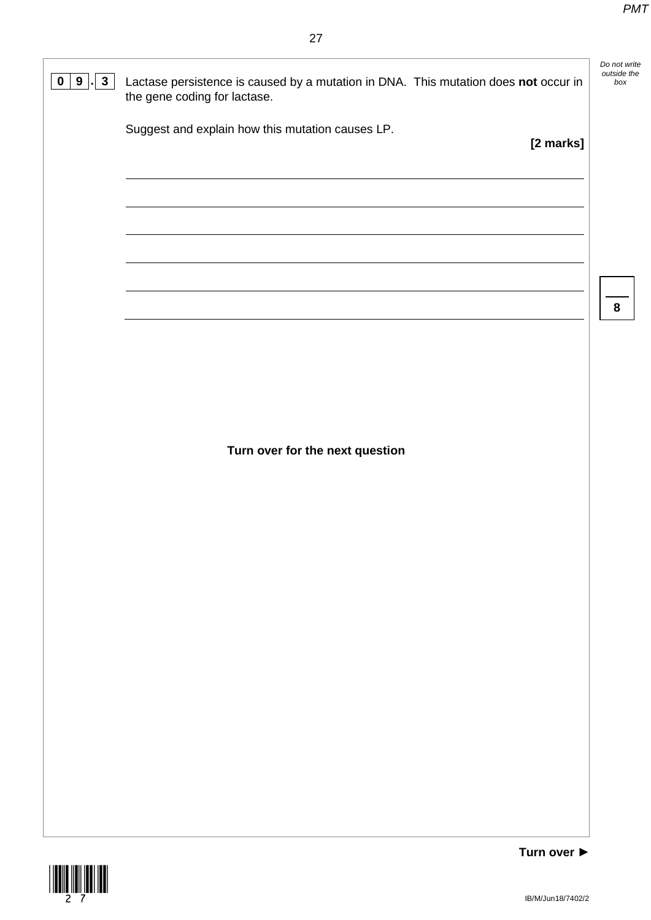*Do not write outside the* 



**0 9**  $\cdot$  **3** Lactase persistence is caused by a mutation in DNA. This mutation does not occur in the gene coding for lactase.

Suggest and explain how this mutation causes LP.

**[2 marks]**

**8**

**Turn over for the next question**

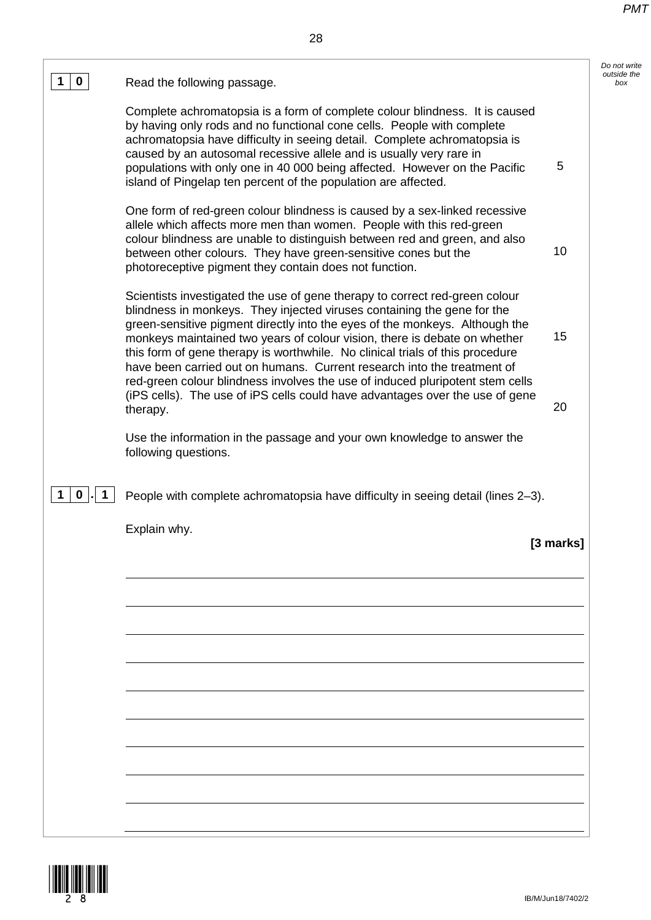*Do not write outside the* 

| $\mathbf 0$<br>1                                              | Read the following passage.                                                                                                                                                                                                                                                                                                                                                                                                                                                                                                                                     |           |
|---------------------------------------------------------------|-----------------------------------------------------------------------------------------------------------------------------------------------------------------------------------------------------------------------------------------------------------------------------------------------------------------------------------------------------------------------------------------------------------------------------------------------------------------------------------------------------------------------------------------------------------------|-----------|
|                                                               | Complete achromatopsia is a form of complete colour blindness. It is caused<br>by having only rods and no functional cone cells. People with complete<br>achromatopsia have difficulty in seeing detail. Complete achromatopsia is<br>caused by an autosomal recessive allele and is usually very rare in<br>populations with only one in 40 000 being affected. However on the Pacific<br>island of Pingelap ten percent of the population are affected.                                                                                                       | 5         |
|                                                               | One form of red-green colour blindness is caused by a sex-linked recessive<br>allele which affects more men than women. People with this red-green<br>colour blindness are unable to distinguish between red and green, and also<br>between other colours. They have green-sensitive cones but the<br>photoreceptive pigment they contain does not function.                                                                                                                                                                                                    | 10        |
|                                                               | Scientists investigated the use of gene therapy to correct red-green colour<br>blindness in monkeys. They injected viruses containing the gene for the<br>green-sensitive pigment directly into the eyes of the monkeys. Although the<br>monkeys maintained two years of colour vision, there is debate on whether<br>this form of gene therapy is worthwhile. No clinical trials of this procedure<br>have been carried out on humans. Current research into the treatment of<br>red-green colour blindness involves the use of induced pluripotent stem cells | 15        |
|                                                               | (iPS cells). The use of iPS cells could have advantages over the use of gene<br>therapy.                                                                                                                                                                                                                                                                                                                                                                                                                                                                        | 20        |
|                                                               | Use the information in the passage and your own knowledge to answer the<br>following questions.                                                                                                                                                                                                                                                                                                                                                                                                                                                                 |           |
| $\mathbf{0}$<br>1<br>$\overline{\phantom{a}}$<br>$\mathbf{1}$ | People with complete achromatopsia have difficulty in seeing detail (lines 2-3).                                                                                                                                                                                                                                                                                                                                                                                                                                                                                |           |
|                                                               | Explain why.                                                                                                                                                                                                                                                                                                                                                                                                                                                                                                                                                    | [3 marks] |
|                                                               |                                                                                                                                                                                                                                                                                                                                                                                                                                                                                                                                                                 |           |
|                                                               |                                                                                                                                                                                                                                                                                                                                                                                                                                                                                                                                                                 |           |
|                                                               |                                                                                                                                                                                                                                                                                                                                                                                                                                                                                                                                                                 |           |
|                                                               |                                                                                                                                                                                                                                                                                                                                                                                                                                                                                                                                                                 |           |
|                                                               |                                                                                                                                                                                                                                                                                                                                                                                                                                                                                                                                                                 |           |
|                                                               |                                                                                                                                                                                                                                                                                                                                                                                                                                                                                                                                                                 |           |
|                                                               |                                                                                                                                                                                                                                                                                                                                                                                                                                                                                                                                                                 |           |

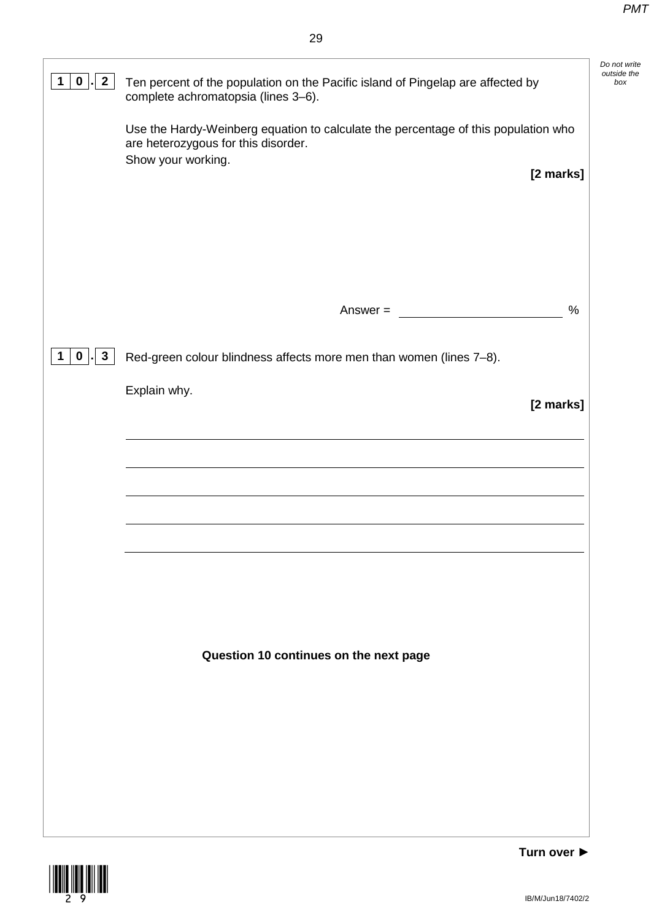| $\overline{2}$<br>$\mathbf 0$<br>1                           | Ten percent of the population on the Pacific island of Pingelap are affected by<br>complete achromatopsia (lines 3-6).                                       | Do not write<br>outside the<br>box |
|--------------------------------------------------------------|--------------------------------------------------------------------------------------------------------------------------------------------------------------|------------------------------------|
|                                                              | Use the Hardy-Weinberg equation to calculate the percentage of this population who<br>are heterozygous for this disorder.<br>Show your working.<br>[2 marks] |                                    |
|                                                              |                                                                                                                                                              |                                    |
|                                                              | $\%$<br>Answer $=$                                                                                                                                           |                                    |
| $\overline{\mathbf{3}}$<br>$\mathbf{0}$<br>$\mathbf 1$<br>J. | Red-green colour blindness affects more men than women (lines 7-8).                                                                                          |                                    |
|                                                              | Explain why.<br>[2 marks]                                                                                                                                    |                                    |
|                                                              |                                                                                                                                                              |                                    |
|                                                              |                                                                                                                                                              |                                    |
|                                                              |                                                                                                                                                              |                                    |
|                                                              |                                                                                                                                                              |                                    |
|                                                              | Question 10 continues on the next page                                                                                                                       |                                    |
|                                                              |                                                                                                                                                              |                                    |
|                                                              |                                                                                                                                                              |                                    |
|                                                              |                                                                                                                                                              |                                    |

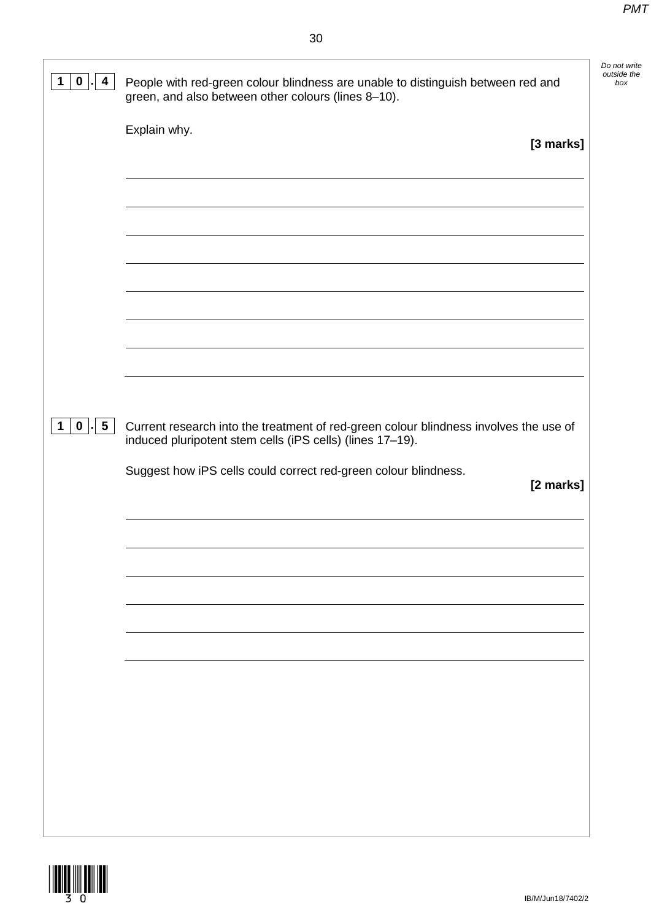*Do not write outside the* 

| $\mathbf 0$<br>4 | People with red-green colour blindness are unable to distinguish between red and<br>green, and also between other colours (lines 8-10).            |
|------------------|----------------------------------------------------------------------------------------------------------------------------------------------------|
|                  | Explain why.<br>[3 marks]                                                                                                                          |
|                  |                                                                                                                                                    |
|                  |                                                                                                                                                    |
|                  |                                                                                                                                                    |
|                  |                                                                                                                                                    |
|                  |                                                                                                                                                    |
|                  |                                                                                                                                                    |
| $0$   $5$        | Current research into the treatment of red-green colour blindness involves the use of<br>induced pluripotent stem cells (iPS cells) (lines 17-19). |
|                  | Suggest how iPS cells could correct red-green colour blindness.<br>[2 marks]                                                                       |
|                  |                                                                                                                                                    |
|                  |                                                                                                                                                    |
|                  |                                                                                                                                                    |
|                  |                                                                                                                                                    |
|                  |                                                                                                                                                    |
| 1                |                                                                                                                                                    |

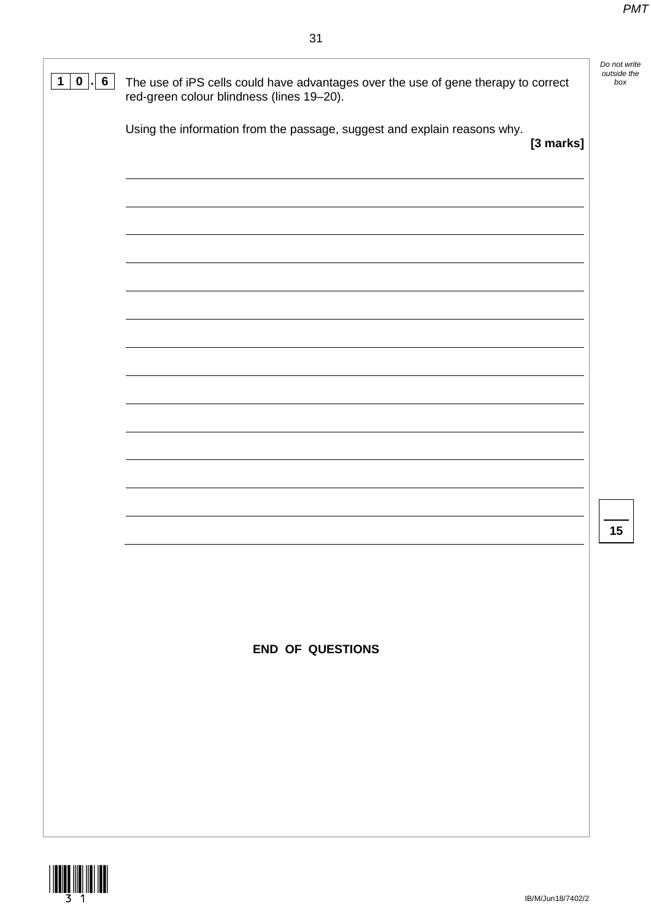red-green colour blindness (lines 19–20).

## *Do not write outside the*  **1 0 . 6** The use of iPS cells could have advantages over the use of gene therapy to correct *box* Using the information from the passage, suggest and explain reasons why. **[3 marks]**

**15**

**END OF QUESTIONS**